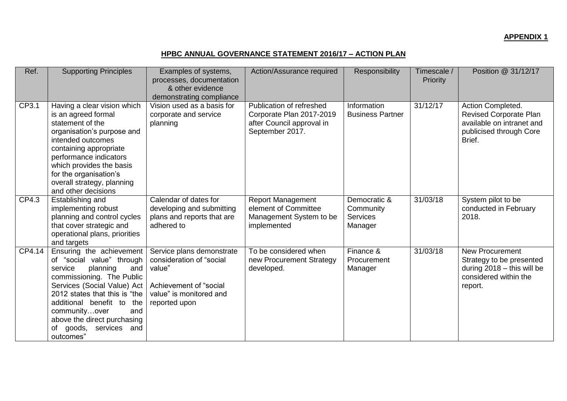## **HPBC ANNUAL GOVERNANCE STATEMENT 2016/17 – ACTION PLAN**

| Ref.   | <b>Supporting Principles</b>                                                                                                                                                                                                                                                                                      | Examples of systems,<br>processes, documentation<br>& other evidence<br>demonstrating compliance                                      | Action/Assurance required                                                                            | Responsibility                                          | Timescale /<br>Priority | Position @ 31/12/17                                                                                                    |
|--------|-------------------------------------------------------------------------------------------------------------------------------------------------------------------------------------------------------------------------------------------------------------------------------------------------------------------|---------------------------------------------------------------------------------------------------------------------------------------|------------------------------------------------------------------------------------------------------|---------------------------------------------------------|-------------------------|------------------------------------------------------------------------------------------------------------------------|
| CP3.1  | Having a clear vision which<br>is an agreed formal<br>statement of the<br>organisation's purpose and<br>intended outcomes<br>containing appropriate<br>performance indicators<br>which provides the basis<br>for the organisation's<br>overall strategy, planning<br>and other decisions                          | $\overline{\mathsf{Vision}}$ used as a basis for<br>corporate and service<br>planning                                                 | Publication of refreshed<br>Corporate Plan 2017-2019<br>after Council approval in<br>September 2017. | Information<br><b>Business Partner</b>                  | 31/12/17                | Action Completed.<br>Revised Corporate Plan<br>available on intranet and<br>publicised through Core<br>Brief.          |
| CP4.3  | Establishing and<br>implementing robust<br>planning and control cycles<br>that cover strategic and<br>operational plans, priorities<br>and targets                                                                                                                                                                | Calendar of dates for<br>developing and submitting<br>plans and reports that are<br>adhered to                                        | <b>Report Management</b><br>element of Committee<br>Management System to be<br>implemented           | Democratic &<br>Community<br><b>Services</b><br>Manager | 31/03/18                | System pilot to be<br>conducted in February<br>2018.                                                                   |
| CP4.14 | Ensuring the achievement<br>of "social value" through<br>planning<br>service<br>and<br>commissioning. The Public<br>Services (Social Value) Act<br>2012 states that this is "the<br>additional benefit to the<br>communityover<br>and<br>above the direct purchasing<br>goods,<br>services and<br>of<br>outcomes" | Service plans demonstrate<br>consideration of "social<br>value"<br>Achievement of "social<br>value" is monitored and<br>reported upon | To be considered when<br>new Procurement Strategy<br>developed.                                      | Finance &<br>Procurement<br>Manager                     | 31/03/18                | <b>New Procurement</b><br>Strategy to be presented<br>during $2018 -$ this will be<br>considered within the<br>report. |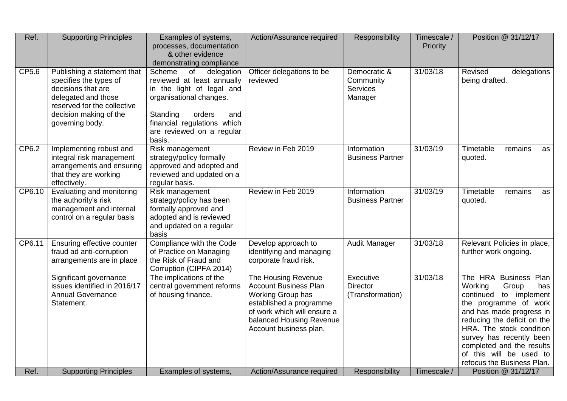| Ref.   | <b>Supporting Principles</b>                                                                                                                                                   | Examples of systems,<br>processes, documentation<br>& other evidence<br>demonstrating compliance                                                                                                                    | Action/Assurance required                                                                                                                                                                | Responsibility                                          | Timescale /<br>Priority | Position @ 31/12/17                                                                                                                                                                                                                                                                                             |
|--------|--------------------------------------------------------------------------------------------------------------------------------------------------------------------------------|---------------------------------------------------------------------------------------------------------------------------------------------------------------------------------------------------------------------|------------------------------------------------------------------------------------------------------------------------------------------------------------------------------------------|---------------------------------------------------------|-------------------------|-----------------------------------------------------------------------------------------------------------------------------------------------------------------------------------------------------------------------------------------------------------------------------------------------------------------|
| CP5.6  | Publishing a statement that<br>specifies the types of<br>decisions that are<br>delegated and those<br>reserved for the collective<br>decision making of the<br>governing body. | Scheme<br>of<br>delegation<br>reviewed at least annually<br>in the light of legal and<br>organisational changes.<br>Standing<br>orders<br>and<br>financial regulations which<br>are reviewed on a regular<br>basis. | Officer delegations to be<br>reviewed                                                                                                                                                    | Democratic &<br>Community<br><b>Services</b><br>Manager | 31/03/18                | Revised<br>delegations<br>being drafted.                                                                                                                                                                                                                                                                        |
| CP6.2  | Implementing robust and<br>integral risk management<br>arrangements and ensuring<br>that they are working<br>effectively.                                                      | Risk management<br>strategy/policy formally<br>approved and adopted and<br>reviewed and updated on a<br>regular basis.                                                                                              | Review in Feb 2019                                                                                                                                                                       | Information<br><b>Business Partner</b>                  | 31/03/19                | Timetable<br>remains<br>as<br>quoted.                                                                                                                                                                                                                                                                           |
| CP6.10 | Evaluating and monitoring<br>the authority's risk<br>management and internal<br>control on a regular basis                                                                     | Risk management<br>strategy/policy has been<br>formally approved and<br>adopted and is reviewed<br>and updated on a regular<br>basis                                                                                | Review in Feb 2019                                                                                                                                                                       | Information<br><b>Business Partner</b>                  | 31/03/19                | Timetable<br>remains<br>as<br>quoted.                                                                                                                                                                                                                                                                           |
| CP6.11 | Ensuring effective counter<br>fraud ad anti-corruption<br>arrangements are in place                                                                                            | Compliance with the Code<br>of Practice on Managing<br>the Risk of Fraud and<br>Corruption (CIPFA 2014)                                                                                                             | Develop approach to<br>identifying and managing<br>corporate fraud risk.                                                                                                                 | Audit Manager                                           | 31/03/18                | Relevant Policies in place,<br>further work ongoing.                                                                                                                                                                                                                                                            |
|        | Significant governance<br>issues identified in 2016/17<br><b>Annual Governance</b><br>Statement.                                                                               | The implications of the<br>central government reforms<br>of housing finance.                                                                                                                                        | The Housing Revenue<br><b>Account Business Plan</b><br>Working Group has<br>established a programme<br>of work which will ensure a<br>balanced Housing Revenue<br>Account business plan. | Executive<br><b>Director</b><br>(Transformation)        | 31/03/18                | The HRA Business Plan<br>Working<br>has<br>Group<br>continued<br>to implement<br>the programme of work<br>and has made progress in<br>reducing the deficit on the<br>HRA. The stock condition<br>survey has recently been<br>completed and the results<br>of this will be used to<br>refocus the Business Plan. |
| Ref.   | <b>Supporting Principles</b>                                                                                                                                                   | Examples of systems,                                                                                                                                                                                                | Action/Assurance required                                                                                                                                                                | Responsibility                                          | Timescale /             | Position @ 31/12/17                                                                                                                                                                                                                                                                                             |